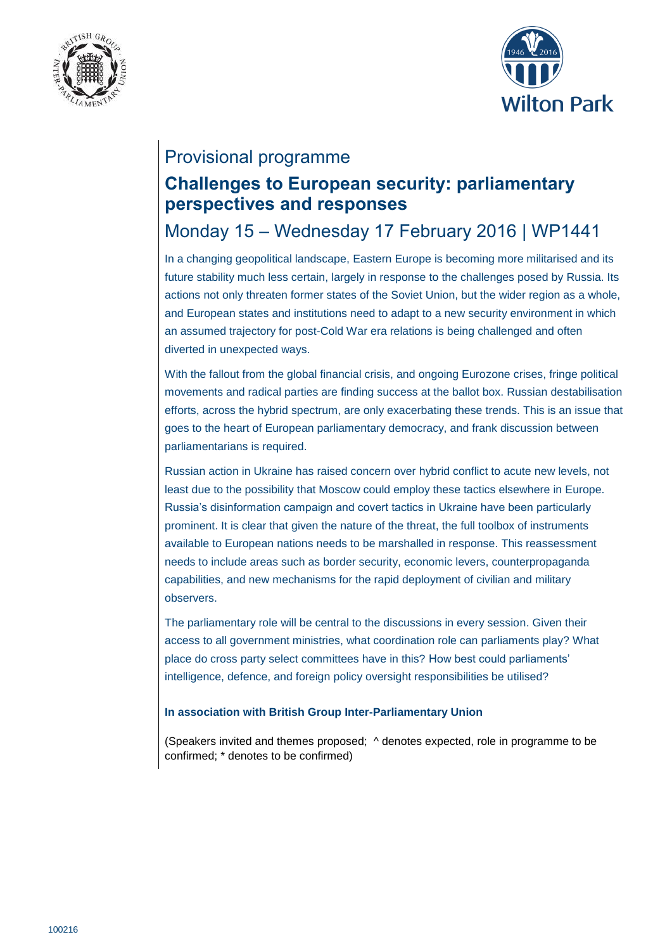



## Provisional programme

# **Challenges to European security: parliamentary perspectives and responses**

# Monday 15 – Wednesday 17 February 2016 | WP1441

In a changing geopolitical landscape, Eastern Europe is becoming more militarised and its future stability much less certain, largely in response to the challenges posed by Russia. Its actions not only threaten former states of the Soviet Union, but the wider region as a whole, and European states and institutions need to adapt to a new security environment in which an assumed trajectory for post-Cold War era relations is being challenged and often diverted in unexpected ways.

With the fallout from the global financial crisis, and ongoing Eurozone crises, fringe political movements and radical parties are finding success at the ballot box. Russian destabilisation efforts, across the hybrid spectrum, are only exacerbating these trends. This is an issue that goes to the heart of European parliamentary democracy, and frank discussion between parliamentarians is required.

Russian action in Ukraine has raised concern over hybrid conflict to acute new levels, not least due to the possibility that Moscow could employ these tactics elsewhere in Europe. Russia's disinformation campaign and covert tactics in Ukraine have been particularly prominent. It is clear that given the nature of the threat, the full toolbox of instruments available to European nations needs to be marshalled in response. This reassessment needs to include areas such as border security, economic levers, counterpropaganda capabilities, and new mechanisms for the rapid deployment of civilian and military observers.

The parliamentary role will be central to the discussions in every session. Given their access to all government ministries, what coordination role can parliaments play? What place do cross party select committees have in this? How best could parliaments' intelligence, defence, and foreign policy oversight responsibilities be utilised?

#### **In association with British Group Inter-Parliamentary Union**

(Speakers invited and themes proposed; ^ denotes expected, role in programme to be confirmed; \* denotes to be confirmed)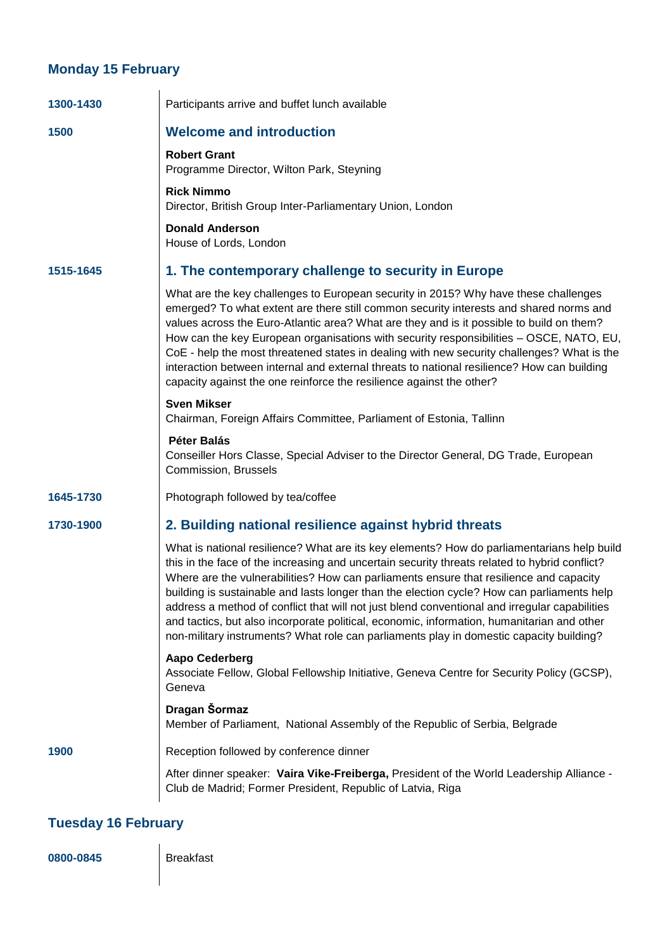## **Monday 15 February**

| 1300-1430 | Participants arrive and buffet lunch available                                                                                                                                                                                                                                                                                                                                                                                                                                                                                                                                                                                                                                |
|-----------|-------------------------------------------------------------------------------------------------------------------------------------------------------------------------------------------------------------------------------------------------------------------------------------------------------------------------------------------------------------------------------------------------------------------------------------------------------------------------------------------------------------------------------------------------------------------------------------------------------------------------------------------------------------------------------|
| 1500      | <b>Welcome and introduction</b>                                                                                                                                                                                                                                                                                                                                                                                                                                                                                                                                                                                                                                               |
|           | <b>Robert Grant</b><br>Programme Director, Wilton Park, Steyning                                                                                                                                                                                                                                                                                                                                                                                                                                                                                                                                                                                                              |
|           | <b>Rick Nimmo</b><br>Director, British Group Inter-Parliamentary Union, London                                                                                                                                                                                                                                                                                                                                                                                                                                                                                                                                                                                                |
|           | <b>Donald Anderson</b><br>House of Lords, London                                                                                                                                                                                                                                                                                                                                                                                                                                                                                                                                                                                                                              |
| 1515-1645 | 1. The contemporary challenge to security in Europe                                                                                                                                                                                                                                                                                                                                                                                                                                                                                                                                                                                                                           |
|           | What are the key challenges to European security in 2015? Why have these challenges<br>emerged? To what extent are there still common security interests and shared norms and<br>values across the Euro-Atlantic area? What are they and is it possible to build on them?<br>How can the key European organisations with security responsibilities - OSCE, NATO, EU,<br>CoE - help the most threatened states in dealing with new security challenges? What is the<br>interaction between internal and external threats to national resilience? How can building<br>capacity against the one reinforce the resilience against the other?                                      |
|           | <b>Sven Mikser</b><br>Chairman, Foreign Affairs Committee, Parliament of Estonia, Tallinn                                                                                                                                                                                                                                                                                                                                                                                                                                                                                                                                                                                     |
|           | <b>Péter Balás</b><br>Conseiller Hors Classe, Special Adviser to the Director General, DG Trade, European<br>Commission, Brussels                                                                                                                                                                                                                                                                                                                                                                                                                                                                                                                                             |
| 1645-1730 | Photograph followed by tea/coffee                                                                                                                                                                                                                                                                                                                                                                                                                                                                                                                                                                                                                                             |
| 1730-1900 | 2. Building national resilience against hybrid threats                                                                                                                                                                                                                                                                                                                                                                                                                                                                                                                                                                                                                        |
|           | What is national resilience? What are its key elements? How do parliamentarians help build<br>this in the face of the increasing and uncertain security threats related to hybrid conflict?<br>Where are the vulnerabilities? How can parliaments ensure that resilience and capacity<br>building is sustainable and lasts longer than the election cycle? How can parliaments help<br>address a method of conflict that will not just blend conventional and irregular capabilities<br>and tactics, but also incorporate political, economic, information, humanitarian and other<br>non-military instruments? What role can parliaments play in domestic capacity building? |
|           | <b>Aapo Cederberg</b><br>Associate Fellow, Global Fellowship Initiative, Geneva Centre for Security Policy (GCSP),<br>Geneva                                                                                                                                                                                                                                                                                                                                                                                                                                                                                                                                                  |
|           | Dragan Šormaz<br>Member of Parliament, National Assembly of the Republic of Serbia, Belgrade                                                                                                                                                                                                                                                                                                                                                                                                                                                                                                                                                                                  |
| 1900      | Reception followed by conference dinner                                                                                                                                                                                                                                                                                                                                                                                                                                                                                                                                                                                                                                       |
|           | After dinner speaker: Vaira Vike-Freiberga, President of the World Leadership Alliance -<br>Club de Madrid; Former President, Republic of Latvia, Riga                                                                                                                                                                                                                                                                                                                                                                                                                                                                                                                        |

## **Tuesday 16 February**

**0800-0845** Breakfast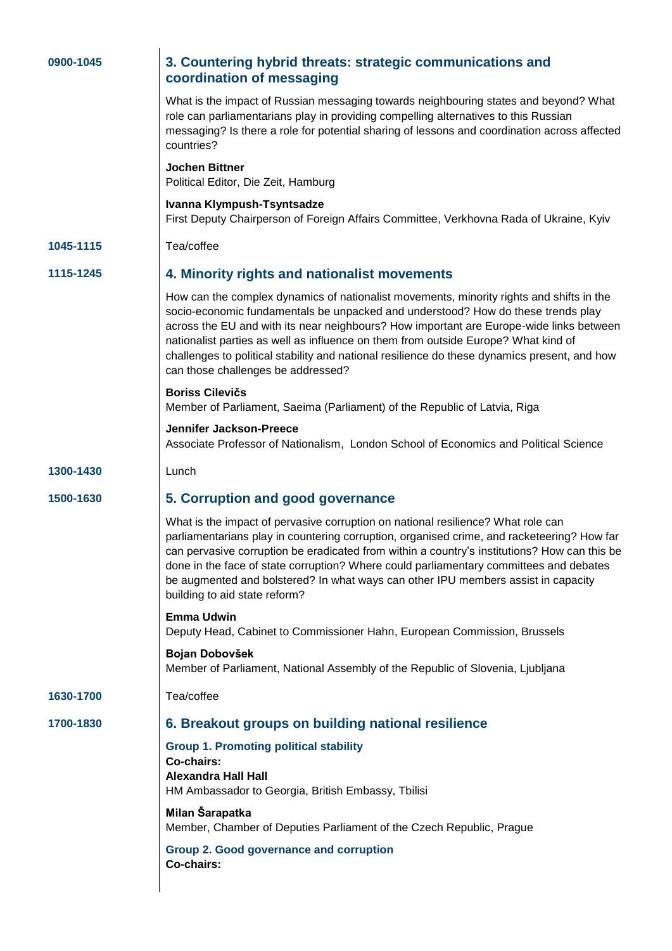| 0900-1045 | 3. Countering hybrid threats: strategic communications and<br>coordination of messaging                                                                                                                                                                                                                                                                                                                                                                                                             |
|-----------|-----------------------------------------------------------------------------------------------------------------------------------------------------------------------------------------------------------------------------------------------------------------------------------------------------------------------------------------------------------------------------------------------------------------------------------------------------------------------------------------------------|
|           | What is the impact of Russian messaging towards neighbouring states and beyond? What<br>role can parliamentarians play in providing compelling alternatives to this Russian<br>messaging? Is there a role for potential sharing of lessons and coordination across affected<br>countries?                                                                                                                                                                                                           |
|           | <b>Jochen Bittner</b><br>Political Editor, Die Zeit, Hamburg                                                                                                                                                                                                                                                                                                                                                                                                                                        |
|           | Ivanna Klympush-Tsyntsadze<br>First Deputy Chairperson of Foreign Affairs Committee, Verkhovna Rada of Ukraine, Kyiv                                                                                                                                                                                                                                                                                                                                                                                |
| 1045-1115 | Tea/coffee                                                                                                                                                                                                                                                                                                                                                                                                                                                                                          |
| 1115-1245 | 4. Minority rights and nationalist movements                                                                                                                                                                                                                                                                                                                                                                                                                                                        |
|           | How can the complex dynamics of nationalist movements, minority rights and shifts in the<br>socio-economic fundamentals be unpacked and understood? How do these trends play<br>across the EU and with its near neighbours? How important are Europe-wide links between<br>nationalist parties as well as influence on them from outside Europe? What kind of<br>challenges to political stability and national resilience do these dynamics present, and how<br>can those challenges be addressed? |
|           | <b>Boriss Cilevičs</b><br>Member of Parliament, Saeima (Parliament) of the Republic of Latvia, Riga                                                                                                                                                                                                                                                                                                                                                                                                 |
|           | <b>Jennifer Jackson-Preece</b><br>Associate Professor of Nationalism, London School of Economics and Political Science                                                                                                                                                                                                                                                                                                                                                                              |
| 1300-1430 | Lunch                                                                                                                                                                                                                                                                                                                                                                                                                                                                                               |
| 1500-1630 | 5. Corruption and good governance                                                                                                                                                                                                                                                                                                                                                                                                                                                                   |
|           | What is the impact of pervasive corruption on national resilience? What role can<br>parliamentarians play in countering corruption, organised crime, and racketeering? How far<br>can pervasive corruption be eradicated from within a country's institutions? How can this be<br>done in the face of state corruption? Where could parliamentary committees and debates<br>be augmented and bolstered? In what ways can other IPU members assist in capacity<br>building to aid state reform?      |
|           | <b>Emma Udwin</b><br>Deputy Head, Cabinet to Commissioner Hahn, European Commission, Brussels                                                                                                                                                                                                                                                                                                                                                                                                       |
|           | Bojan Dobovšek<br>Member of Parliament, National Assembly of the Republic of Slovenia, Ljubljana                                                                                                                                                                                                                                                                                                                                                                                                    |
| 1630-1700 | Tea/coffee                                                                                                                                                                                                                                                                                                                                                                                                                                                                                          |
| 1700-1830 | 6. Breakout groups on building national resilience                                                                                                                                                                                                                                                                                                                                                                                                                                                  |
|           | <b>Group 1. Promoting political stability</b><br>Co-chairs:<br><b>Alexandra Hall Hall</b><br>HM Ambassador to Georgia, British Embassy, Tbilisi                                                                                                                                                                                                                                                                                                                                                     |
|           | Milan Šarapatka<br>Member, Chamber of Deputies Parliament of the Czech Republic, Prague                                                                                                                                                                                                                                                                                                                                                                                                             |
|           | <b>Group 2. Good governance and corruption</b><br>Co-chairs:                                                                                                                                                                                                                                                                                                                                                                                                                                        |
|           |                                                                                                                                                                                                                                                                                                                                                                                                                                                                                                     |